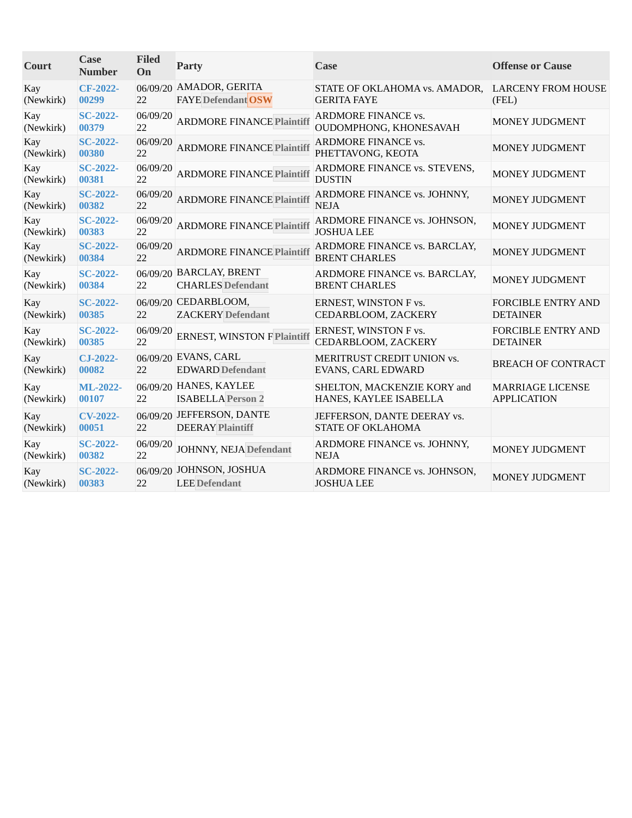| Court            | Case<br><b>Number</b>    | <b>Filed</b><br>On | Party                                                | Case                                                    | <b>Offense or Cause</b>                       |
|------------------|--------------------------|--------------------|------------------------------------------------------|---------------------------------------------------------|-----------------------------------------------|
| Kay<br>(Newkirk) | CF-2022-<br>00299        | 22                 | 06/09/20 AMADOR, GERITA<br><b>FAYE</b> Defendant OSW | STATE OF OKLAHOMA vs. AMADOR,<br><b>GERITA FAYE</b>     | <b>LARCENY FROM HOUSE</b><br>(FEL)            |
| Kay<br>(Newkirk) | <b>SC-2022-</b><br>00379 | 06/09/20<br>22     | <b>ARDMORE FINANCE Plaintiff</b>                     | <b>ARDMORE FINANCE vs.</b><br>OUDOMPHONG, KHONESAVAH    | MONEY JUDGMENT                                |
| Kay<br>(Newkirk) | $SC-2022-$<br>00380      | 06/09/20<br>22     | <b>ARDMORE FINANCE Plaintiff</b>                     | <b>ARDMORE FINANCE vs.</b><br>PHETTAVONG, KEOTA         | <b>MONEY JUDGMENT</b>                         |
| Kay<br>(Newkirk) | <b>SC-2022-</b><br>00381 | 06/09/20<br>22     | <b>ARDMORE FINANCE Plaintiff</b>                     | ARDMORE FINANCE vs. STEVENS,<br><b>DUSTIN</b>           | MONEY JUDGMENT                                |
| Kay<br>(Newkirk) | $SC-2022-$<br>00382      | 06/09/20<br>22     | <b>ARDMORE FINANCE Plaintiff</b>                     | ARDMORE FINANCE vs. JOHNNY,<br><b>NEJA</b>              | MONEY JUDGMENT                                |
| Kay<br>(Newkirk) | $SC-2022-$<br>00383      | 06/09/20<br>22     | <b>ARDMORE FINANCE Plaintiff</b>                     | ARDMORE FINANCE vs. JOHNSON,<br><b>JOSHUA LEE</b>       | <b>MONEY JUDGMENT</b>                         |
| Kay<br>(Newkirk) | $SC-2022-$<br>00384      | 06/09/20<br>22     | <b>ARDMORE FINANCE Plaintiff</b>                     | ARDMORE FINANCE vs. BARCLAY,<br><b>BRENT CHARLES</b>    | <b>MONEY JUDGMENT</b>                         |
| Kay<br>(Newkirk) | <b>SC-2022-</b><br>00384 | 22                 | 06/09/20 BARCLAY, BRENT<br><b>CHARLES</b> Defendant  | ARDMORE FINANCE vs. BARCLAY,<br><b>BRENT CHARLES</b>    | MONEY JUDGMENT                                |
| Kay<br>(Newkirk) | <b>SC-2022-</b><br>00385 | 22                 | 06/09/20 CEDARBLOOM,<br><b>ZACKERY</b> Defendant     | ERNEST, WINSTON F vs.<br>CEDARBLOOM, ZACKERY            | <b>FORCIBLE ENTRY AND</b><br><b>DETAINER</b>  |
| Kay<br>(Newkirk) | $SC-2022-$<br>00385      | 06/09/20<br>22     | <b>ERNEST, WINSTON F Plaintiff</b>                   | ERNEST, WINSTON F vs.<br>CEDARBLOOM, ZACKERY            | <b>FORCIBLE ENTRY AND</b><br><b>DETAINER</b>  |
| Kay<br>(Newkirk) | $CJ-2022-$<br>00082      | 22                 | 06/09/20 EVANS, CARL<br><b>EDWARD Defendant</b>      | MERITRUST CREDIT UNION vs.<br>EVANS, CARL EDWARD        | <b>BREACH OF CONTRACT</b>                     |
| Kay<br>(Newkirk) | <b>ML-2022-</b><br>00107 | 22                 | 06/09/20 HANES, KAYLEE<br><b>ISABELLA Person 2</b>   | SHELTON, MACKENZIE KORY and<br>HANES, KAYLEE ISABELLA   | <b>MARRIAGE LICENSE</b><br><b>APPLICATION</b> |
| Kay<br>(Newkirk) | <b>CV-2022-</b><br>00051 | 22                 | 06/09/20 JEFFERSON, DANTE<br><b>DEERAY Plaintiff</b> | JEFFERSON, DANTE DEERAY vs.<br><b>STATE OF OKLAHOMA</b> |                                               |
| Kay<br>(Newkirk) | <b>SC-2022-</b><br>00382 | 06/09/20<br>22     | <b>JOHNNY, NEJA Defendant</b>                        | ARDMORE FINANCE vs. JOHNNY,<br><b>NEJA</b>              | MONEY JUDGMENT                                |
| Kay<br>(Newkirk) | <b>SC-2022-</b><br>00383 | 22                 | 06/09/20 JOHNSON, JOSHUA<br><b>LEE</b> Defendant     | ARDMORE FINANCE vs. JOHNSON,<br><b>JOSHUA LEE</b>       | MONEY JUDGMENT                                |